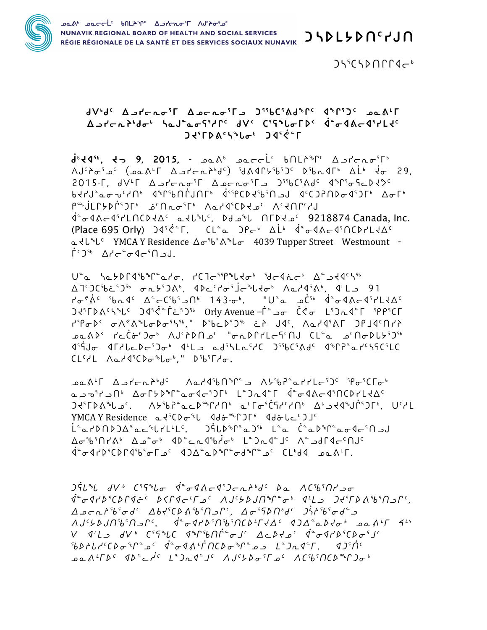

 $J\mathcal{L}^{\mathcal{E}}$ CSD $\Lambda\Gamma\Gamma\mathcal{A}-\mathcal{B}$ 

## avbdc Aprofi Apcrofis DibCidd<sup>b</sup>rc dirile padir  $\Delta u' \Gamma \Gamma \Gamma^{1} d\sigma^{1} \Delta u''$  $7580$   $1370$

 $d^{1}44^{16}$ ,  $d - 9$ , 2015,  $d - 2015$ ,  $d - 2015$ ,  $e - 16$   $f - 16$   $f - 16$   $f - 16$ ΛJ<sup>c</sup> λσ<sup>ε</sup> (عدد الله عند من الله) (المعرفة الله عن الله عن الله عن الله عن الله عن الله عن الله عن ا 2015- $\Gamma$ ,  $dV^{\perp}\Gamma$  ב חים ברתס<sup>ק</sup>ך ב האחסיר ב האחרים האריך הוא האחרים האריך הוא ה ᠂ႨႦႸႨႺ<sup></sup>ჼႲႻႽႷႶჼႺჂჼႦჼႱႶჼႮჽჽႷჼჼჼჼჽჽႸჽჼჽჼჀჽႸჀჼႻჽჄჼჼႻჽჄჼႻჽႱႨ<del>Ⴘ</del>Ⴛ **P<sup>a</sup>ujLC>Di<sup>cs</sup>JC من اسم الله عن المركز العامل المركز المركز المركز المركز المركز المركز المركز ال** .j°o−4&c−4°۲LNCD+∆٬ علام م°ل NTD+ے٬ 9218874 Canada, Inc (Place 695 Orly)  $J45e^cT$ . CL<sup>e</sup>e  $J2e^b$  AL<sup>6</sup>  $d^e\sigma 4\Lambda\sigma 4^c \Pi C D7L4\Delta^c$ a  $\langle U^*U^c \rangle$  YMCA Y Residence  $\Delta \sigma^5 b^5 \Lambda^4 b \sigma$  4039 Tupper Street Westmount - $\Gamma$ <sup>c</sup>)<sup>56</sup>  $\Delta$ *d* $\Gamma$ <sup>6</sup> $\sigma$ <sup>4</sup> $\Gamma$ <sup>5</sup> $\Gamma$ 

 $U^{\circ}$ a habbrash $\circ$ rado, relation idedich Assedents <u> A TSDCibisDib on bidAb. ddichoidrobhadoth AndriAb. dtLa 91</u>  $T\sigma^e\dot{\Lambda}^c$  'b n  $4^c$   $\Delta^c$ c ('b'  $\Box\Omega^b$  143 $\sigma^b$ . "U' a  $\Box\dot{C}^{b}$   $\dot{A}^a\sigma$   $4\Lambda$ c  $4^c$   $7^1$   $1\leftrightarrow\Lambda^c$ **J+FDACSPLC** J4S<br/>
C-J-B Orly Avenue -FC - Or C+C LSD R4CF SPPSCF ripobe onentaboiste," Dibediji et Jac, Aaraint JPJacnrt J<sup>۹</sup>۲۹ - January 1979 - January 1979 - January 1970 - January 1979 - January 1979 - January 1979 - J  $CL<sup>c</sup>PL \wedge L$ / $4<sup>s</sup>CD<sub>σ</sub>$ <sup>6</sup> $L<sup>s</sup>$ ,  $R<sup>s</sup>D<sup>s</sup>TrC<sub>σ</sub>$ ,

YMCAY Residence a dichopol dd front dd blade ڶۛۛڡ٢٥٨٥٤٤٥٤-٢٤٤٤٠٠ - ٢٩٤٤١٩٩٢٥- ١٠٠٥ - ٢٩٤٤١٦٥- ٢٩ كمفهران الألمان المستحد المستحد المناسرة المستحدث المستحدث المستحدث المستحدث المستحدث المستحدث المستحدث المستحدث 

 $J\dot{5}L^{6}L$  dV<sup>6</sup>  $C^{5}5^{6}L\sigma$   $\dot{d}^{c}\sigma Q\Lambda\sigma Q^{5}J\sigma\Lambda\Lambda^{6}d^{c}$   $\rho_{a}$   $\Lambda C^{5}b^{5}\Omega L^{3}\sigma$  $\dot{q}^a \sigma \dot{q} r \dot{\rho}^5 C \dot{\rho} \Gamma \dot{q} \dot{\sigma}^c \quad \dot{\rho} \langle \Gamma \dot{q} \sigma^1 \Gamma \rho^c \quad \dot{\Lambda} J^c \dot{\rho} \dot{\rho} J \Omega^a \Gamma^a \sigma^b \quad \dot{q}^L L \quad J \dot{\tau}^5 \Gamma \dot{\rho} \dot{\Lambda}^5 \dot{\delta}^5 \Omega \dot{\rho} \Gamma^c,$  $\Delta$  o c n  $f^5b^5\sigma d^c$   $\Delta b$  d'i  $\Delta b^5$ n a  $b^5$ n a  $c$  ,  $\Delta \sigma$ <sup>5</sup> $\Omega$ n $^b$ d'  $\Delta$ j  $^b$  $\sigma$ d'  $\Delta$  $\Lambda J^c$ ל- מב מיט $\Lambda J^c$ - מב מיט $\Lambda^c$ ימים מיטי $\Lambda^c$ ימים מיטי $\Lambda^c$  $V$   $Q^L$   $L$   $\Rightarrow$   $dV^b$   $C^5$  $5^b$  $C$   $Q^b$  $C^6$  $D_1^b$  $D^a$  $D_2^C$   $D_3^c$   $D_4^c$   $Q^a$   $D_5^c$  $D_6^c$  $D_6^c$  $D_7^c$  $5687L74C$ <sub>0</sub>  $672C$ <sub>0</sub>  $926R1$  $\dot{7}$  $\Omega$  $963R2$  $\sigma$  $90^{\circ}$